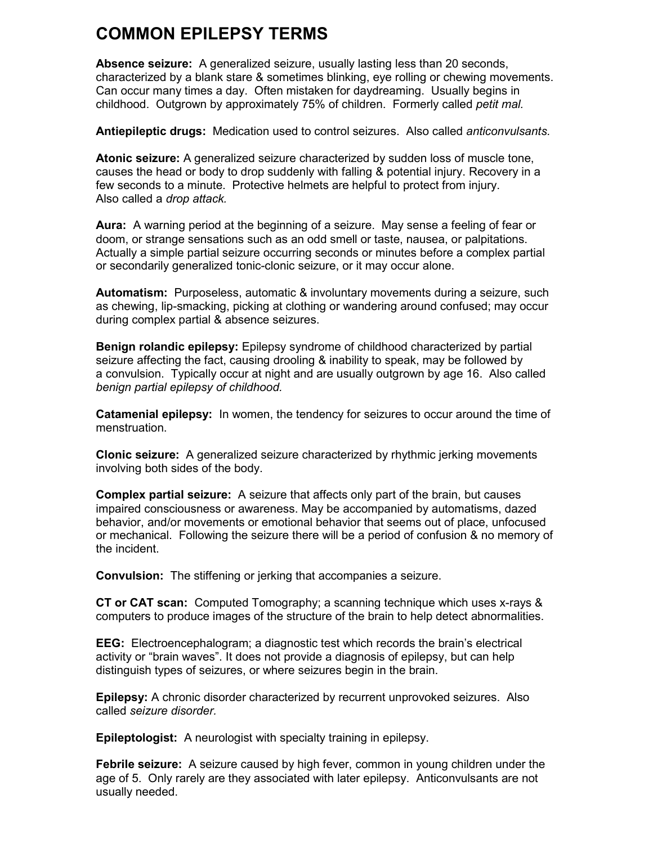## **COMMON EPILEPSY TERMS**

**Absence seizure:** A generalized seizure, usually lasting less than 20 seconds, characterized by a blank stare & sometimes blinking, eye rolling or chewing movements. Can occur many times a day. Often mistaken for daydreaming. Usually begins in childhood. Outgrown by approximately 75% of children. Formerly called *petit mal.*

**Antiepileptic drugs:** Medication used to control seizures. Also called *anticonvulsants.*

**Atonic seizure:** A generalized seizure characterized by sudden loss of muscle tone, causes the head or body to drop suddenly with falling & potential injury. Recovery in a few seconds to a minute. Protective helmets are helpful to protect from injury. Also called a *drop attack.*

**Aura:** A warning period at the beginning of a seizure. May sense a feeling of fear or doom, or strange sensations such as an odd smell or taste, nausea, or palpitations. Actually a simple partial seizure occurring seconds or minutes before a complex partial or secondarily generalized tonic-clonic seizure, or it may occur alone.

**Automatism:** Purposeless, automatic & involuntary movements during a seizure, such as chewing, lip-smacking, picking at clothing or wandering around confused; may occur during complex partial & absence seizures.

**Benign rolandic epilepsy:** Epilepsy syndrome of childhood characterized by partial seizure affecting the fact, causing drooling & inability to speak, may be followed by a convulsion. Typically occur at night and are usually outgrown by age 16. Also called *benign partial epilepsy of childhood.*

**Catamenial epilepsy:** In women, the tendency for seizures to occur around the time of menstruation.

**Clonic seizure:** A generalized seizure characterized by rhythmic jerking movements involving both sides of the body.

**Complex partial seizure:** A seizure that affects only part of the brain, but causes impaired consciousness or awareness. May be accompanied by automatisms, dazed behavior, and/or movements or emotional behavior that seems out of place, unfocused or mechanical. Following the seizure there will be a period of confusion & no memory of the incident.

**Convulsion:** The stiffening or jerking that accompanies a seizure.

**CT or CAT scan:** Computed Tomography; a scanning technique which uses x-rays & computers to produce images of the structure of the brain to help detect abnormalities.

**EEG:** Electroencephalogram; a diagnostic test which records the brain's electrical activity or "brain waves". It does not provide a diagnosis of epilepsy, but can help distinguish types of seizures, or where seizures begin in the brain.

**Epilepsy:** A chronic disorder characterized by recurrent unprovoked seizures. Also called *seizure disorder.*

**Epileptologist:** A neurologist with specialty training in epilepsy.

**Febrile seizure:** A seizure caused by high fever, common in young children under the age of 5. Only rarely are they associated with later epilepsy. Anticonvulsants are not usually needed.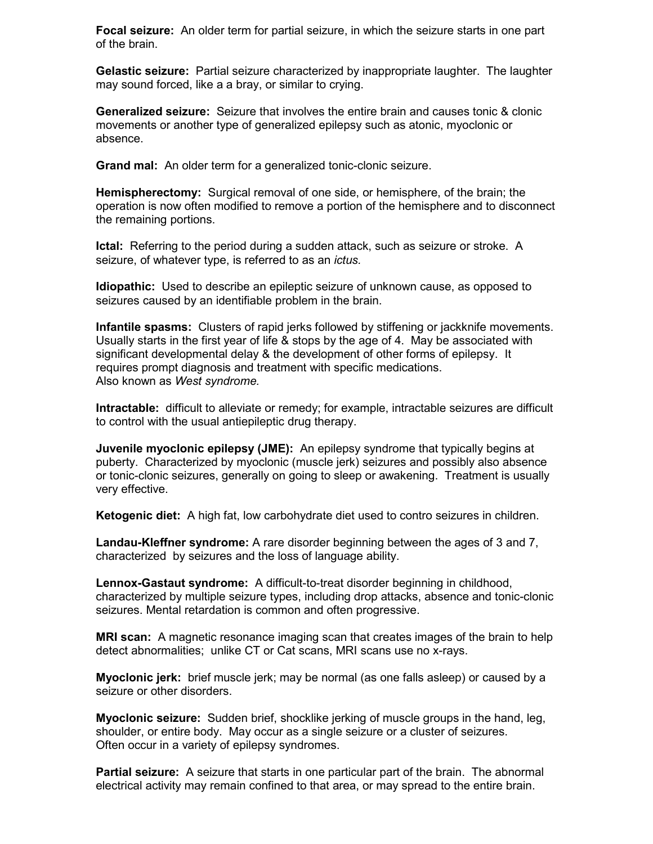**Focal seizure:** An older term for partial seizure, in which the seizure starts in one part of the brain.

**Gelastic seizure:** Partial seizure characterized by inappropriate laughter. The laughter may sound forced, like a a bray, or similar to crying.

**Generalized seizure:** Seizure that involves the entire brain and causes tonic & clonic movements or another type of generalized epilepsy such as atonic, myoclonic or absence.

**Grand mal:** An older term for a generalized tonic-clonic seizure.

**Hemispherectomy:** Surgical removal of one side, or hemisphere, of the brain; the operation is now often modified to remove a portion of the hemisphere and to disconnect the remaining portions.

**Ictal:** Referring to the period during a sudden attack, such as seizure or stroke. A seizure, of whatever type, is referred to as an *ictus.*

**Idiopathic:** Used to describe an epileptic seizure of unknown cause, as opposed to seizures caused by an identifiable problem in the brain.

**Infantile spasms:** Clusters of rapid jerks followed by stiffening or jackknife movements. Usually starts in the first year of life & stops by the age of 4. May be associated with significant developmental delay & the development of other forms of epilepsy. It requires prompt diagnosis and treatment with specific medications. Also known as *West syndrome.*

**Intractable:** difficult to alleviate or remedy; for example, intractable seizures are difficult to control with the usual antiepileptic drug therapy.

**Juvenile myoclonic epilepsy (JME):** An epilepsy syndrome that typically begins at puberty. Characterized by myoclonic (muscle jerk) seizures and possibly also absence or tonic-clonic seizures, generally on going to sleep or awakening. Treatment is usually very effective.

**Ketogenic diet:** A high fat, low carbohydrate diet used to contro seizures in children.

**Landau-Kleffner syndrome:** A rare disorder beginning between the ages of 3 and 7, characterized by seizures and the loss of language ability.

**Lennox-Gastaut syndrome:** A difficult-to-treat disorder beginning in childhood, characterized by multiple seizure types, including drop attacks, absence and tonic-clonic seizures. Mental retardation is common and often progressive.

**MRI scan:** A magnetic resonance imaging scan that creates images of the brain to help detect abnormalities; unlike CT or Cat scans, MRI scans use no x-rays.

**Myoclonic jerk:** brief muscle jerk; may be normal (as one falls asleep) or caused by a seizure or other disorders.

**Myoclonic seizure:** Sudden brief, shocklike jerking of muscle groups in the hand, leg, shoulder, or entire body. May occur as a single seizure or a cluster of seizures. Often occur in a variety of epilepsy syndromes.

**Partial seizure:** A seizure that starts in one particular part of the brain. The abnormal electrical activity may remain confined to that area, or may spread to the entire brain.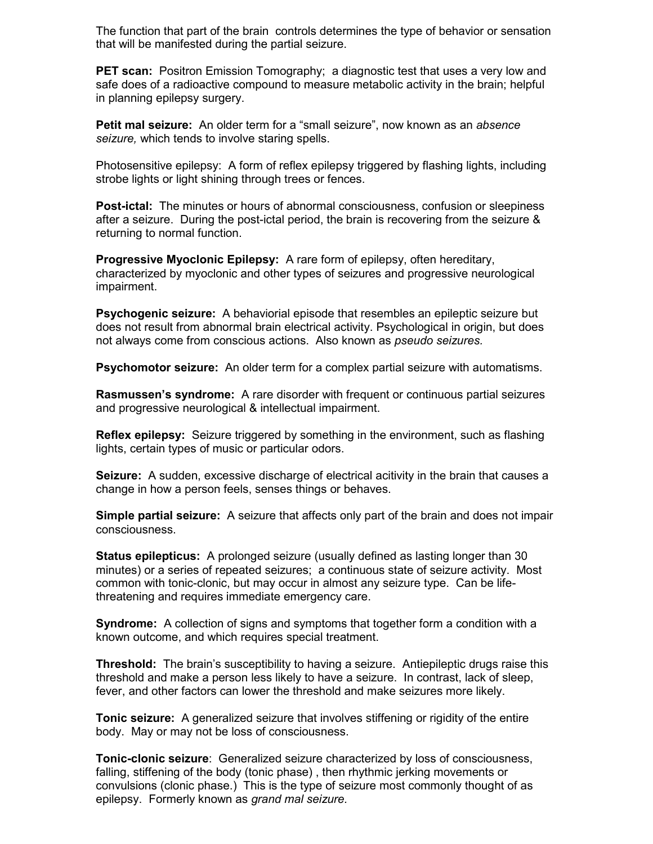The function that part of the brain controls determines the type of behavior or sensation that will be manifested during the partial seizure.

**PET scan:** Positron Emission Tomography; a diagnostic test that uses a very low and safe does of a radioactive compound to measure metabolic activity in the brain; helpful in planning epilepsy surgery.

**Petit mal seizure:** An older term for a "small seizure", now known as an *absence seizure,* which tends to involve staring spells.

Photosensitive epilepsy: A form of reflex epilepsy triggered by flashing lights, including strobe lights or light shining through trees or fences.

**Post-ictal:** The minutes or hours of abnormal consciousness, confusion or sleepiness after a seizure. During the post-ictal period, the brain is recovering from the seizure & returning to normal function.

**Progressive Myoclonic Epilepsy:** A rare form of epilepsy, often hereditary, characterized by myoclonic and other types of seizures and progressive neurological impairment.

**Psychogenic seizure:** A behaviorial episode that resembles an epileptic seizure but does not result from abnormal brain electrical activity. Psychological in origin, but does not always come from conscious actions. Also known as *pseudo seizures.*

**Psychomotor seizure:** An older term for a complex partial seizure with automatisms.

**Rasmussen's syndrome:** A rare disorder with frequent or continuous partial seizures and progressive neurological & intellectual impairment.

**Reflex epilepsy:** Seizure triggered by something in the environment, such as flashing lights, certain types of music or particular odors.

**Seizure:** A sudden, excessive discharge of electrical acitivity in the brain that causes a change in how a person feels, senses things or behaves.

**Simple partial seizure:** A seizure that affects only part of the brain and does not impair consciousness.

**Status epilepticus:** A prolonged seizure (usually defined as lasting longer than 30 minutes) or a series of repeated seizures; a continuous state of seizure activity. Most common with tonic-clonic, but may occur in almost any seizure type. Can be lifethreatening and requires immediate emergency care.

**Syndrome:** A collection of signs and symptoms that together form a condition with a known outcome, and which requires special treatment.

**Threshold:** The brain's susceptibility to having a seizure. Antiepileptic drugs raise this threshold and make a person less likely to have a seizure. In contrast, lack of sleep, fever, and other factors can lower the threshold and make seizures more likely.

**Tonic seizure:** A generalized seizure that involves stiffening or rigidity of the entire body. May or may not be loss of consciousness.

**Tonic-clonic seizure**: Generalized seizure characterized by loss of consciousness, falling, stiffening of the body (tonic phase) , then rhythmic jerking movements or convulsions (clonic phase.) This is the type of seizure most commonly thought of as epilepsy. Formerly known as *grand mal seizure.*